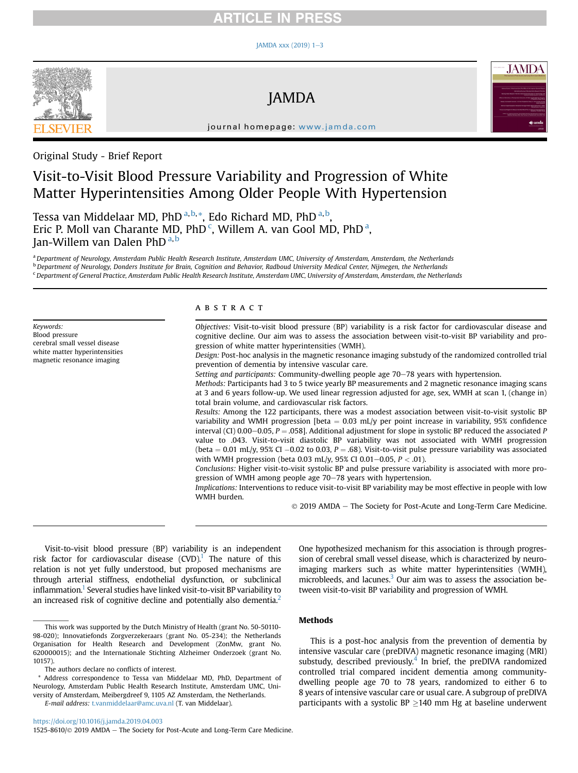## **RTICLE IN PRESS**

#### $IAMDA$  xxx (2019) 1-[3](https://doi.org/10.1016/j.jamda.2019.04.003)



JAMDA



journal homepage: [www.jamda.com](http://www.jamda.com)

### Original Study - Brief Report

# Visit-to-Visit Blood Pressure Variability and Progression of White Matter Hyperintensities Among Older People With Hypertension

Tessa van Middelaar MD, PhD <sup>a,b,</sup>\*, Edo Richard MD, PhD <sup>a,b</sup>, Eric P. Moll van Charante MD, PhD<sup>c</sup>, Willem A. van Gool MD, PhD<sup>a</sup>, Jan-Willem van Dalen PhD<sup>a,b</sup>

<sup>a</sup> Department of Neurology, Amsterdam Public Health Research Institute, Amsterdam UMC, University of Amsterdam, Amsterdam, the Netherlands <sup>b</sup> Department of Neurology, Donders Institute for Brain, Cognition and Behavior, Radboud University Medical Center, Nijmegen, the Netherlands <sup>c</sup> Department of General Practice, Amsterdam Public Health Research Institute, Amsterdam UMC, University of Amsterdam, Amsterdam, the Netherlands

Keywords: Blood pressure cerebral small vessel disease white matter hyperintensities magnetic resonance imaging

#### **ABSTRACT**

Objectives: Visit-to-visit blood pressure (BP) variability is a risk factor for cardiovascular disease and cognitive decline. Our aim was to assess the association between visit-to-visit BP variability and progression of white matter hyperintensities (WMH).

Design: Post-hoc analysis in the magnetic resonance imaging substudy of the randomized controlled trial prevention of dementia by intensive vascular care.

Setting and participants: Community-dwelling people age 70-78 years with hypertension.

Methods: Participants had 3 to 5 twice yearly BP measurements and 2 magnetic resonance imaging scans at 3 and 6 years follow-up. We used linear regression adjusted for age, sex, WMH at scan 1, (change in) total brain volume, and cardiovascular risk factors.

Results: Among the 122 participants, there was a modest association between visit-to-visit systolic BP variability and WMH progression [beta  $= 0.03$  mL/y per point increase in variability, 95% confidence interval (CI) 0.00–0.05, P = .058]. Additional adjustment for slope in systolic BP reduced the associated P value to .043. Visit-to-visit diastolic BP variability was not associated with WMH progression (beta  $= 0.01$  mL/y, 95% CI  $-0.02$  to 0.03,  $P = .68$ ). Visit-to-visit pulse pressure variability was associated with WMH progression (beta 0.03 mL/y, 95% CI 0.01-0.05,  $P < .01$ ).

Conclusions: Higher visit-to-visit systolic BP and pulse pressure variability is associated with more progression of WMH among people age 70–78 years with hypertension.

Implications: Interventions to reduce visit-to-visit BP variability may be most effective in people with low WMH burden.

2019 AMDA e The Society for Post-Acute and Long-Term Care Medicine.

Visit-to-visit blood pressure (BP) variability is an independent risk factor for cardiovascular disease  $(CVD)$ <sup>1</sup>. The nature of this relation is not yet fully understood, but proposed mechanisms are through arterial stiffness, endothelial dysfunction, or subclinical inflammation.<sup>[1](#page-2-0)</sup> Several studies have linked visit-to-visit BP variability to an increased risk of cognitive decline and potentially also dementia.<sup>2</sup>

\* Address correspondence to Tessa van Middelaar MD, PhD, Department of Neurology, Amsterdam Public Health Research Institute, Amsterdam UMC, University of Amsterdam, Meibergdreef 9, 1105 AZ Amsterdam, the Netherlands.

E-mail address: [t.vanmiddelaar@amc.uva.nl](mailto:t.vanmiddelaar@amc.uva.nl) (T. van Middelaar).

One hypothesized mechanism for this association is through progression of cerebral small vessel disease, which is characterized by neuroimaging markers such as white matter hyperintensities (WMH), microbleeds, and lacunes. $3$  Our aim was to assess the association between visit-to-visit BP variability and progression of WMH.

#### Methods

This is a post-hoc analysis from the prevention of dementia by intensive vascular care (preDIVA) magnetic resonance imaging (MRI) substudy, described previously.<sup>[4](#page-2-0)</sup> In brief, the preDIVA randomized controlled trial compared incident dementia among communitydwelling people age 70 to 78 years, randomized to either 6 to 8 years of intensive vascular care or usual care. A subgroup of preDIVA participants with a systolic BP  $\geq$ 140 mm Hg at baseline underwent

This work was supported by the Dutch Ministry of Health (grant No. 50-50110- 98-020); Innovatiefonds Zorgverzekeraars (grant No. 05-234); the Netherlands Organisation for Health Research and Development (ZonMw, grant No. 620000015); and the Internationale Stichting Alzheimer Onderzoek (grant No. 10157).

The authors declare no conflicts of interest.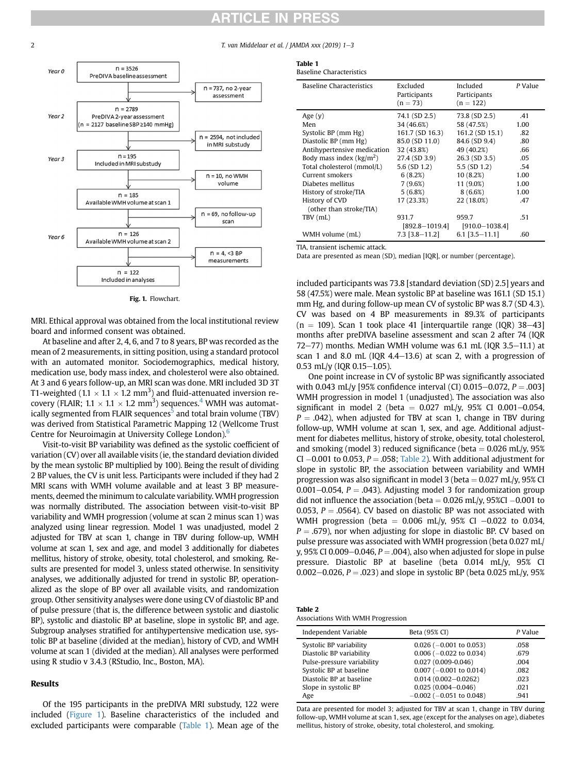## **ARTICLE IN PRESS**

<span id="page-1-0"></span>2 T. van Middelaar et al. / JAMDA xxx (2019) 1-3



Fig. 1. Flowchart.

MRI. Ethical approval was obtained from the local institutional review board and informed consent was obtained.

At baseline and after 2, 4, 6, and 7 to 8 years, BP was recorded as the mean of 2 measurements, in sitting position, using a standard protocol with an automated monitor. Sociodemographics, medical history, medication use, body mass index, and cholesterol were also obtained. At 3 and 6 years follow-up, an MRI scan was done. MRI included 3D 3T T1-weighted (1.1  $\times$  1.1  $\times$  1.2 mm<sup>3</sup>) and fluid-attenuated inversion recovery (FLAIR; 1.1  $\times$  1.1  $\times$  1.2 mm<sup>3</sup>) sequences.<sup>[4](#page-2-0)</sup> WMH was automatically segmented from FLAIR sequences<sup>3</sup> and total brain volume (TBV) was derived from Statistical Parametric Mapping 12 (Wellcome Trust Centre for Neuroimagin at University College London)[.6](#page-2-0)

Visit-to-visit BP variability was defined as the systolic coefficient of variation (CV) over all available visits (ie, the standard deviation divided by the mean systolic BP multiplied by 100). Being the result of dividing 2 BP values, the CV is unit less. Participants were included if they had 2 MRI scans with WMH volume available and at least 3 BP measurements, deemed the minimum to calculate variability. WMH progression was normally distributed. The association between visit-to-visit BP variability and WMH progression (volume at scan 2 minus scan 1) was analyzed using linear regression. Model 1 was unadjusted, model 2 adjusted for TBV at scan 1, change in TBV during follow-up, WMH volume at scan 1, sex and age, and model 3 additionally for diabetes mellitus, history of stroke, obesity, total cholesterol, and smoking. Results are presented for model 3, unless stated otherwise. In sensitivity analyses, we additionally adjusted for trend in systolic BP, operationalized as the slope of BP over all available visits, and randomization group. Other sensitivity analyses were done using CV of diastolic BP and of pulse pressure (that is, the difference between systolic and diastolic BP), systolic and diastolic BP at baseline, slope in systolic BP, and age. Subgroup analyses stratified for antihypertensive medication use, systolic BP at baseline (divided at the median), history of CVD, and WMH volume at scan 1 (divided at the median). All analyses were performed using R studio v 3.4.3 (RStudio, Inc., Boston, MA).

#### Results

Of the 195 participants in the preDIVA MRI substudy, 122 were included (Figure 1). Baseline characteristics of the included and excluded participants were comparable (Table 1). Mean age of the

| ۰. |  |  |
|----|--|--|

Ta

| Excluded<br>Participants<br>$(n = 73)$ | Included<br>Participants<br>$(n = 122)$ | P Value |
|----------------------------------------|-----------------------------------------|---------|
| 74.1 (SD 2.5)                          | 73.8 (SD 2.5)                           | .41     |
| 34 (46.6%)                             | 58 (47.5%)                              | 1.00    |
| 161.7 (SD 16.3)                        | 161.2 (SD 15.1)                         | .82     |
| 85.0 (SD 11.0)                         | 84.6 (SD 9.4)                           | .80     |
| 32 (43.8%)                             | 49 (40.2%)                              | .66     |
| 27.4 (SD 3.9)                          | 26.3 (SD 3.5)                           | .05     |
| $5.6$ (SD 1.2)                         | $5.5$ (SD $1.2$ )                       | .54     |
| 6(8.2%)                                | 10(8.2%)                                | 1.00    |
| 7(9.6%)                                | 11 (9.0%)                               | 1.00    |
| 5(6.8%)                                | 8(6.6%)                                 | 1.00    |
| 17 (23.3%)                             | 22 (18.0%)                              | .47     |
|                                        |                                         |         |
| 931.7                                  | 959.7                                   | .51     |
| $[892.8 - 1019.4]$                     | $[910.0 - 1038.4]$                      |         |
| $7.3$ [3.8-11.2]                       | $6.1$ [3.5-11.1]                        | .60     |
|                                        |                                         |         |

TIA, transient ischemic attack.

Data are presented as mean (SD), median [IQR], or number (percentage).

included participants was 73.8 [standard deviation (SD) 2.5] years and 58 (47.5%) were male. Mean systolic BP at baseline was 161.1 (SD 15.1) mm Hg, and during follow-up mean CV of systolic BP was 8.7 (SD 4.3). CV was based on 4 BP measurements in 89.3% of participants  $(n = 109)$ . Scan 1 took place 41 [interquartile range (IQR) 38–43] months after preDIVA baseline assessment and scan 2 after 74 (IQR 72 $-77$ ) months. Median WMH volume was 6.1 mL (IQR 3.5 $-11.1$ ) at scan 1 and 8.0 mL (IQR  $4.4-13.6$ ) at scan 2, with a progression of  $0.53$  mL/y (IQR  $0.15-1.05$ ).

One point increase in CV of systolic BP was significantly associated with 0.043 mL/y [95% confidence interval (CI) 0.015-0.072,  $P = .003$ ] WMH progression in model 1 (unadjusted). The association was also significant in model 2 (beta =  $0.027$  mL/y, 95% CI 0.001-0.054,  $P = .042$ ), when adjusted for TBV at scan 1, change in TBV during follow-up, WMH volume at scan 1, sex, and age. Additional adjustment for diabetes mellitus, history of stroke, obesity, total cholesterol, and smoking (model 3) reduced significance (beta  $= 0.026$  mL/y, 95%  $CI - 0.001$  to  $0.053$ ,  $P = .058$ ; Table 2). With additional adjustment for slope in systolic BP, the association between variability and WMH progression was also significant in model 3 (beta  $= 0.027$  mL/y, 95% CI 0.001–0.054,  $P = .043$ ). Adjusting model 3 for randomization group did not influence the association (beta  $= 0.026$  mL/y, 95%CI  $-0.001$  to 0.053,  $P = 0.0564$ ). CV based on diastolic BP was not associated with WMH progression (beta =  $0.006$  mL/y, 95% CI -0.022 to 0.034,  $P = .679$ ), nor when adjusting for slope in diastolic BP. CV based on pulse pressure was associated with WMH progression (beta 0.027 mL/ y, 95% CI 0.009–0.046,  $P = .004$ ), also when adjusted for slope in pulse pressure. Diastolic BP at baseline (beta 0.014 mL/y, 95% CI 0.002–0.026,  $P = .023$ ) and slope in systolic BP (beta 0.025 mL/y, 95%)

| Table 2                           |  |  |
|-----------------------------------|--|--|
| Associations With WMH Progression |  |  |

| Independent Variable       | Beta (95% CI)                 | P Value |
|----------------------------|-------------------------------|---------|
| Systolic BP variability    | $0.026$ ( $-0.001$ to 0.053)  | .058    |
| Diastolic BP variability   | $0.006$ ( $-0.022$ to 0.034)  | .679    |
| Pulse-pressure variability | $0.027(0.009 - 0.046)$        | .004    |
| Systolic BP at baseline    | $0.007$ (-0.001 to 0.014)     | .082    |
| Diastolic BP at baseline   | $0.014(0.002 - 0.0262)$       | .023    |
| Slope in systolic BP       | $0.025(0.004 - 0.046)$        | .021    |
| Age                        | $-0.002$ ( $-0.051$ to 0.048) | .941    |
|                            |                               |         |

Data are presented for model 3; adjusted for TBV at scan 1, change in TBV during follow-up, WMH volume at scan 1, sex, age (except for the analyses on age), diabetes mellitus, history of stroke, obesity, total cholesterol, and smoking.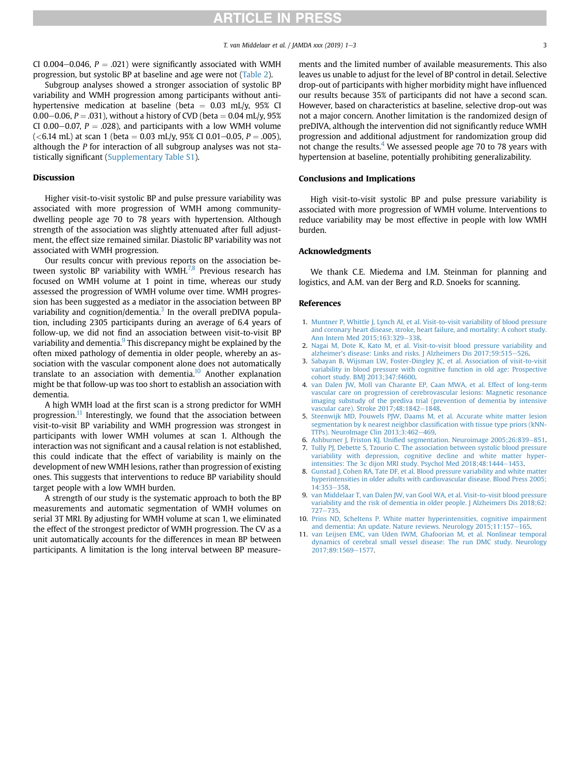## **ARTICLE IN PRESS**

<span id="page-2-0"></span>CI 0.004–0.046,  $P = .021$ ) were significantly associated with WMH progression, but systolic BP at baseline and age were not ([Table 2\)](#page-1-0).

Subgroup analyses showed a stronger association of systolic BP variability and WMH progression among participants without antihypertensive medication at baseline (beta  $= 0.03$  mL/y, 95% CI 0.00–0.06,  $P = .031$ ), without a history of CVD (beta  $= 0.04$  mL/y, 95%) CI 0.00–0.07,  $P = .028$ ), and participants with a low WMH volume  $(**6.14** mL)$  at scan 1 (beta = 0.03 mL/y, 95% CI 0.01-0.05, P = .005), although the P for interaction of all subgroup analyses was not statistically significant [\(Supplementary Table S1](#page-3-0)).

#### Discussion

Higher visit-to-visit systolic BP and pulse pressure variability was associated with more progression of WMH among communitydwelling people age 70 to 78 years with hypertension. Although strength of the association was slightly attenuated after full adjustment, the effect size remained similar. Diastolic BP variability was not associated with WMH progression.

Our results concur with previous reports on the association between systolic BP variability with WMH. $^{7,8}$  Previous research has focused on WMH volume at 1 point in time, whereas our study assessed the progression of WMH volume over time. WMH progression has been suggested as a mediator in the association between BP variability and cognition/dementia.<sup>3</sup> In the overall preDIVA population, including 2305 participants during an average of 6.4 years of follow-up, we did not find an association between visit-to-visit BP variability and dementia.<sup>9</sup> This discrepancy might be explained by the often mixed pathology of dementia in older people, whereby an association with the vascular component alone does not automatically translate to an association with dementia.<sup>10</sup> Another explanation might be that follow-up was too short to establish an association with dementia.

A high WMH load at the first scan is a strong predictor for WMH progression.<sup>11</sup> Interestingly, we found that the association between visit-to-visit BP variability and WMH progression was strongest in participants with lower WMH volumes at scan 1. Although the interaction was not significant and a causal relation is not established, this could indicate that the effect of variability is mainly on the development of new WMH lesions, rather than progression of existing ones. This suggests that interventions to reduce BP variability should target people with a low WMH burden.

A strength of our study is the systematic approach to both the BP measurements and automatic segmentation of WMH volumes on serial 3T MRI. By adjusting for WMH volume at scan 1, we eliminated the effect of the strongest predictor of WMH progression. The CV as a unit automatically accounts for the differences in mean BP between participants. A limitation is the long interval between BP measurements and the limited number of available measurements. This also leaves us unable to adjust for the level of BP control in detail. Selective drop-out of participants with higher morbidity might have influenced our results because 35% of participants did not have a second scan. However, based on characteristics at baseline, selective drop-out was not a major concern. Another limitation is the randomized design of preDIVA, although the intervention did not significantly reduce WMH progression and additional adjustment for randomization group did not change the results. $4$  We assessed people age 70 to 78 years with hypertension at baseline, potentially prohibiting generalizability.

#### Conclusions and Implications

High visit-to-visit systolic BP and pulse pressure variability is associated with more progression of WMH volume. Interventions to reduce variability may be most effective in people with low WMH burden.

#### Acknowledgments

We thank C.E. Miedema and I.M. Steinman for planning and logistics, and A.M. van der Berg and R.D. Snoeks for scanning.

#### References

- 1. [Muntner P, Whittle J, Lynch AI, et al. Visit-to-visit variability of blood pressure](http://refhub.elsevier.com/S1525-8610(19)30334-2/sref1) [and coronary heart disease, stroke, heart failure, and mortality: A cohort study.](http://refhub.elsevier.com/S1525-8610(19)30334-2/sref1) [Ann Intern Med 2015;163:329](http://refhub.elsevier.com/S1525-8610(19)30334-2/sref1)-[338](http://refhub.elsevier.com/S1525-8610(19)30334-2/sref1).
- 2. [Nagai M, Dote K, Kato M, et al. Visit-to-visit blood pressure variability and](http://refhub.elsevier.com/S1525-8610(19)30334-2/sref2) alzheimer'[s disease: Links and risks. J Alzheimers Dis 2017;59:515](http://refhub.elsevier.com/S1525-8610(19)30334-2/sref2)-[526](http://refhub.elsevier.com/S1525-8610(19)30334-2/sref2).
- 3. [Sabayan B, Wijsman LW, Foster-Dingley JC, et al. Association of visit-to-visit](http://refhub.elsevier.com/S1525-8610(19)30334-2/sref3) [variability in blood pressure with cognitive function in old age: Prospective](http://refhub.elsevier.com/S1525-8610(19)30334-2/sref3) [cohort study. BMJ 2013;347:f4600](http://refhub.elsevier.com/S1525-8610(19)30334-2/sref3).
- 4. [van Dalen JW, Moll van Charante EP, Caan MWA, et al. Effect of long-term](http://refhub.elsevier.com/S1525-8610(19)30334-2/sref4) [vascular care on progression of cerebrovascular lesions: Magnetic resonance](http://refhub.elsevier.com/S1525-8610(19)30334-2/sref4) [imaging substudy of the prediva trial \(prevention of dementia by intensive](http://refhub.elsevier.com/S1525-8610(19)30334-2/sref4) [vascular care\). Stroke 2017;48:1842](http://refhub.elsevier.com/S1525-8610(19)30334-2/sref4)-[1848](http://refhub.elsevier.com/S1525-8610(19)30334-2/sref4).
- 5. [Steenwijk MD, Pouwels PJW, Daams M, et al. Accurate white matter lesion](http://refhub.elsevier.com/S1525-8610(19)30334-2/sref5) [segmentation by k nearest neighbor classi](http://refhub.elsevier.com/S1525-8610(19)30334-2/sref5)fication with tissue type priors (kNN-[TTPs\). NeuroImage Clin 2013;3:462](http://refhub.elsevier.com/S1525-8610(19)30334-2/sref5)-[469.](http://refhub.elsevier.com/S1525-8610(19)30334-2/sref5)
- 6. Ashburner J, Friston KJ. Unifi[ed segmentation. Neuroimage 2005;26:839](http://refhub.elsevier.com/S1525-8610(19)30334-2/sref6)-[851.](http://refhub.elsevier.com/S1525-8610(19)30334-2/sref6)
- 7. [Tully PJ, Debette S, Tzourio C. The association between systolic blood pressure](http://refhub.elsevier.com/S1525-8610(19)30334-2/sref7) [variability with depression, cognitive decline and white matter hyper](http://refhub.elsevier.com/S1525-8610(19)30334-2/sref7)[intensities: The 3c dijon MRI study. Psychol Med 2018;48:1444](http://refhub.elsevier.com/S1525-8610(19)30334-2/sref7)-[1453.](http://refhub.elsevier.com/S1525-8610(19)30334-2/sref7)
- 8. [Gunstad J, Cohen RA, Tate DF, et al. Blood pressure variability and white matter](http://refhub.elsevier.com/S1525-8610(19)30334-2/sref8) [hyperintensities in older adults with cardiovascular disease. Blood Press 2005;](http://refhub.elsevier.com/S1525-8610(19)30334-2/sref8) [14:353](http://refhub.elsevier.com/S1525-8610(19)30334-2/sref8)-[358.](http://refhub.elsevier.com/S1525-8610(19)30334-2/sref8)
- 9. [van Middelaar T, van Dalen JW, van Gool WA, et al. Visit-to-visit blood pressure](http://refhub.elsevier.com/S1525-8610(19)30334-2/sref9) [variability and the risk of dementia in older people. J Alzheimers Dis 2018;62:](http://refhub.elsevier.com/S1525-8610(19)30334-2/sref9)  $727 - 735.$  $727 - 735.$  $727 - 735.$
- 10. [Prins ND, Scheltens P. White matter hyperintensities, cognitive impairment](http://refhub.elsevier.com/S1525-8610(19)30334-2/sref10) and dementia: An update. Nature reviews. Neurology  $2015;11:157-165$ .
- 11. [van Leijsen EMC, van Uden IWM, Ghafoorian M, et al. Nonlinear temporal](http://refhub.elsevier.com/S1525-8610(19)30334-2/sref11) [dynamics of cerebral small vessel disease: The run DMC study. Neurology](http://refhub.elsevier.com/S1525-8610(19)30334-2/sref11) 2017:89:1569-[1577](http://refhub.elsevier.com/S1525-8610(19)30334-2/sref11).